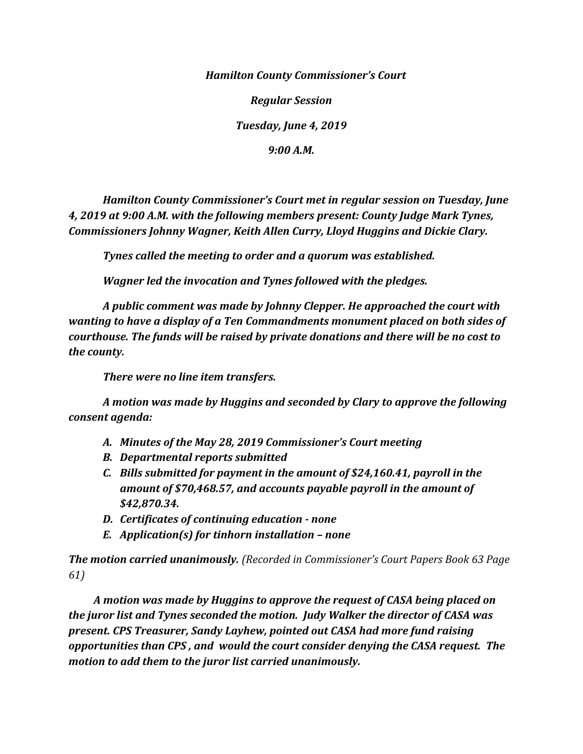*Hamilton County Commissioner's Court*

*Regular Session*

*Tuesday, June 4, 2019*

*9:00 A.M.*

*Hamilton County Commissioner's Court met in regular session on Tuesday, June 4, 2019 at 9:00 A.M. with the following members present: County Judge Mark Tynes, Commissioners Johnny Wagner, Keith Allen Curry, Lloyd Huggins and Dickie Clary.*

*Tynes called the meeting to order and a quorum was established.*

*Wagner led the invocation and Tynes followed with the pledges.*

*A public comment was made by Johnny Clepper. He approached the court with wanting to have a display of a Ten Commandments monument placed on both sides of courthouse. The funds will be raised by private donations and there will be no cost to the county.*

*There were no line item transfers.*

*A motion was made by Huggins and seconded by Clary to approve the following consent agenda:*

- *A. Minutes of the May 28, 2019 Commissioner's Court meeting*
- *B. Departmental reports submitted*
- *C. Bills submitted for payment in the amount of \$24,160.41, payroll in the amount of \$70,468.57, and accounts payable payroll in the amount of \$42,870.34.*
- *D. Certificates of continuing education - none*
- *E. Application(s) for tinhorn installation – none*

*The motion carried unanimously. (Recorded in Commissioner's Court Papers Book 63 Page 61)*

 *A motion was made by Huggins to approve the request of CASA being placed on the juror list and Tynes seconded the motion. Judy Walker the director of CASA was present. CPS Treasurer, Sandy Layhew, pointed out CASA had more fund raising opportunities than CPS , and would the court consider denying the CASA request. The motion to add them to the juror list carried unanimously.*